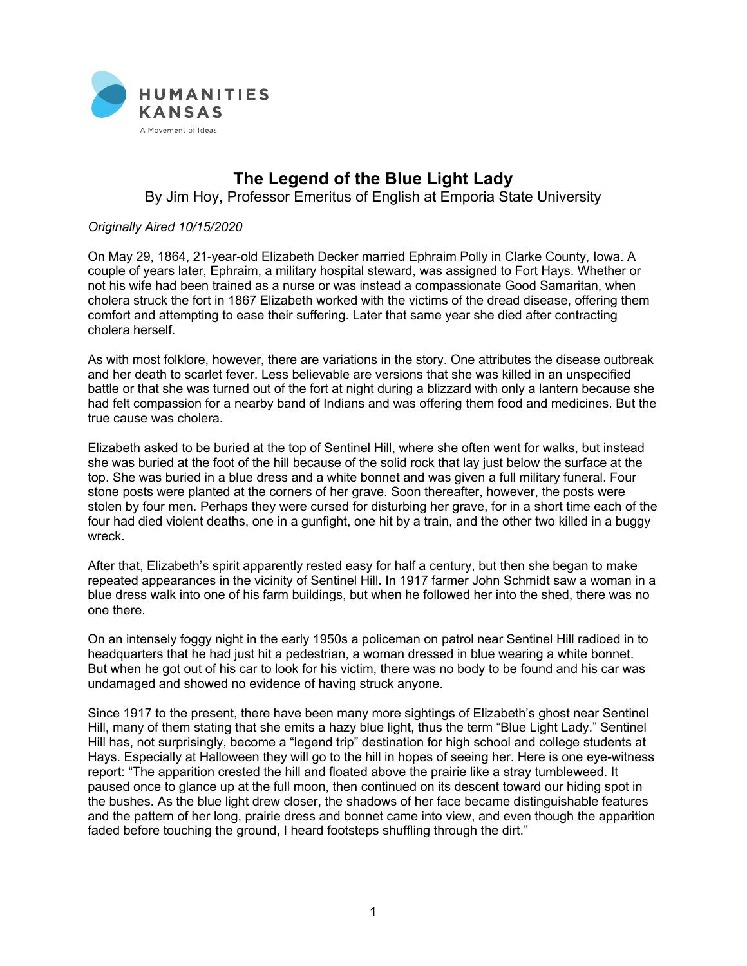

## **The Legend of the Blue Light Lady**

By Jim Hoy, Professor Emeritus of English at Emporia State University

## *Originally Aired 10/15/2020*

On May 29, 1864, 21-year-old Elizabeth Decker married Ephraim Polly in Clarke County, Iowa. A couple of years later, Ephraim, a military hospital steward, was assigned to Fort Hays. Whether or not his wife had been trained as a nurse or was instead a compassionate Good Samaritan, when cholera struck the fort in 1867 Elizabeth worked with the victims of the dread disease, offering them comfort and attempting to ease their suffering. Later that same year she died after contracting cholera herself.

As with most folklore, however, there are variations in the story. One attributes the disease outbreak and her death to scarlet fever. Less believable are versions that she was killed in an unspecified battle or that she was turned out of the fort at night during a blizzard with only a lantern because she had felt compassion for a nearby band of Indians and was offering them food and medicines. But the true cause was cholera.

Elizabeth asked to be buried at the top of Sentinel Hill, where she often went for walks, but instead she was buried at the foot of the hill because of the solid rock that lay just below the surface at the top. She was buried in a blue dress and a white bonnet and was given a full military funeral. Four stone posts were planted at the corners of her grave. Soon thereafter, however, the posts were stolen by four men. Perhaps they were cursed for disturbing her grave, for in a short time each of the four had died violent deaths, one in a gunfight, one hit by a train, and the other two killed in a buggy wreck.

After that, Elizabeth's spirit apparently rested easy for half a century, but then she began to make repeated appearances in the vicinity of Sentinel Hill. In 1917 farmer John Schmidt saw a woman in a blue dress walk into one of his farm buildings, but when he followed her into the shed, there was no one there.

On an intensely foggy night in the early 1950s a policeman on patrol near Sentinel Hill radioed in to headquarters that he had just hit a pedestrian, a woman dressed in blue wearing a white bonnet. But when he got out of his car to look for his victim, there was no body to be found and his car was undamaged and showed no evidence of having struck anyone.

Since 1917 to the present, there have been many more sightings of Elizabeth's ghost near Sentinel Hill, many of them stating that she emits a hazy blue light, thus the term "Blue Light Lady." Sentinel Hill has, not surprisingly, become a "legend trip" destination for high school and college students at Hays. Especially at Halloween they will go to the hill in hopes of seeing her. Here is one eye-witness report: "The apparition crested the hill and floated above the prairie like a stray tumbleweed. It paused once to glance up at the full moon, then continued on its descent toward our hiding spot in the bushes. As the blue light drew closer, the shadows of her face became distinguishable features and the pattern of her long, prairie dress and bonnet came into view, and even though the apparition faded before touching the ground, I heard footsteps shuffling through the dirt."